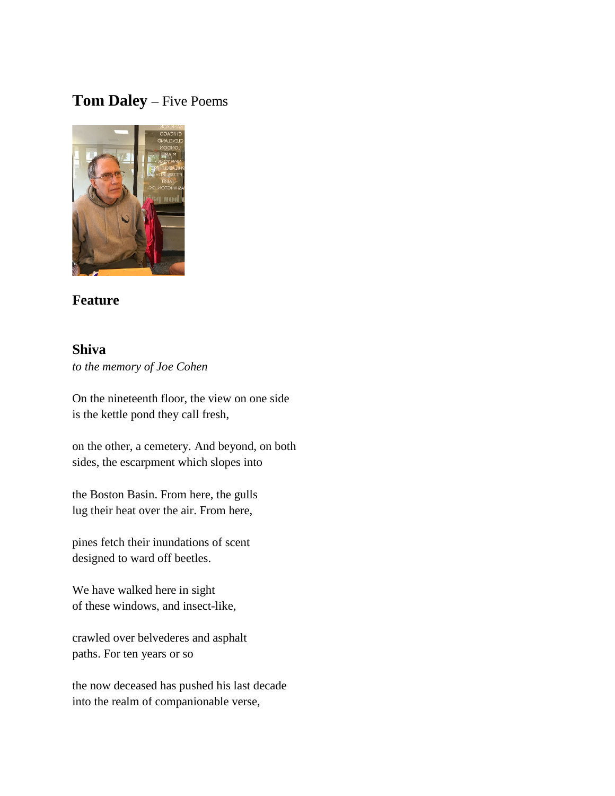# **Tom Daley** – Five Poems



## **Feature**

### **Shiva**

*to the memory of Joe Cohen*

On the nineteenth floor, the view on one side is the kettle pond they call fresh,

on the other, a cemetery. And beyond, on both sides, the escarpment which slopes into

the Boston Basin. From here, the gulls lug their heat over the air. From here,

pines fetch their inundations of scent designed to ward off beetles.

We have walked here in sight of these windows, and insect-like,

crawled over belvederes and asphalt paths. For ten years or so

the now deceased has pushed his last decade into the realm of companionable verse,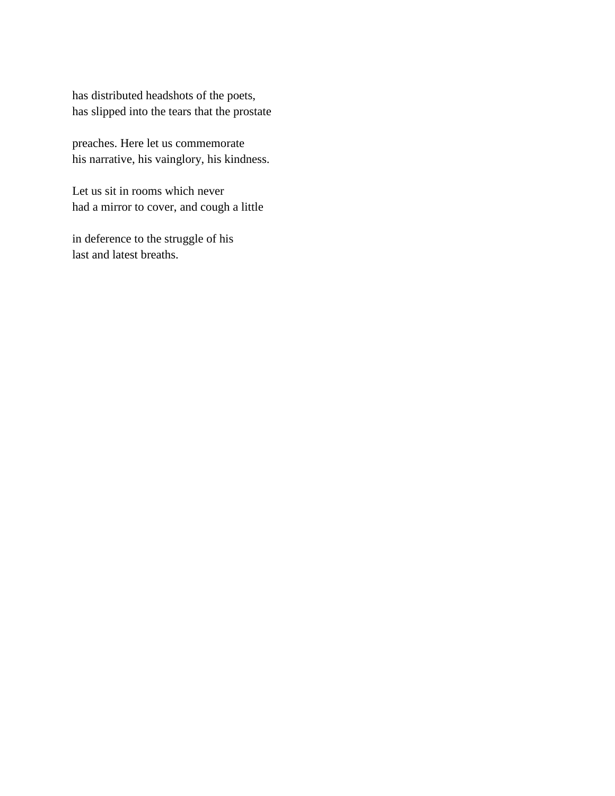has distributed headshots of the poets, has slipped into the tears that the prostate

preaches. Here let us commemorate his narrative, his vainglory, his kindness.

Let us sit in rooms which never had a mirror to cover, and cough a little

in deference to the struggle of his last and latest breaths.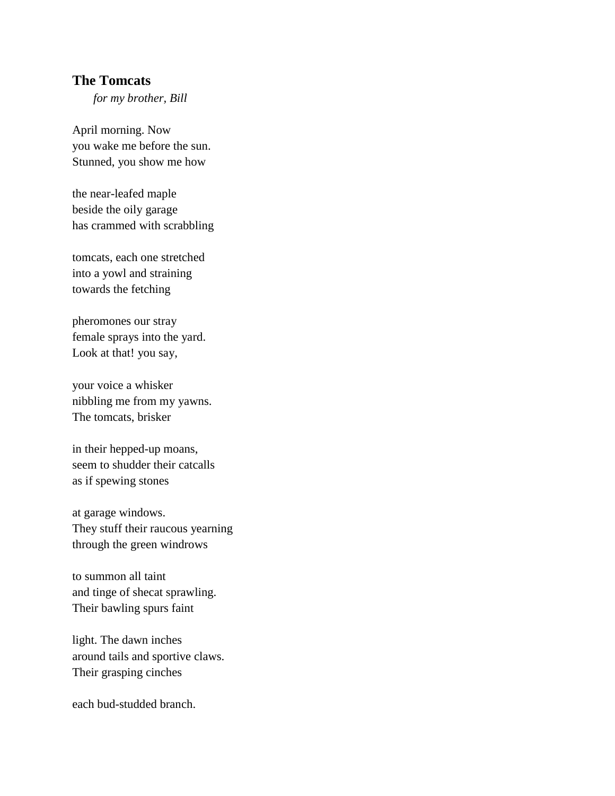### **The Tomcats**

*for my brother, Bill*

April morning. Now you wake me before the sun. Stunned, you show me how

the near-leafed maple beside the oily garage has crammed with scrabbling

tomcats, each one stretched into a yowl and straining towards the fetching

pheromones our stray female sprays into the yard. Look at that! you say,

your voice a whisker nibbling me from my yawns. The tomcats, brisker

in their hepped-up moans, seem to shudder their catcalls as if spewing stones

at garage windows. They stuff their raucous yearning through the green windrows

to summon all taint and tinge of shecat sprawling. Their bawling spurs faint

light. The dawn inches around tails and sportive claws. Their grasping cinches

each bud-studded branch.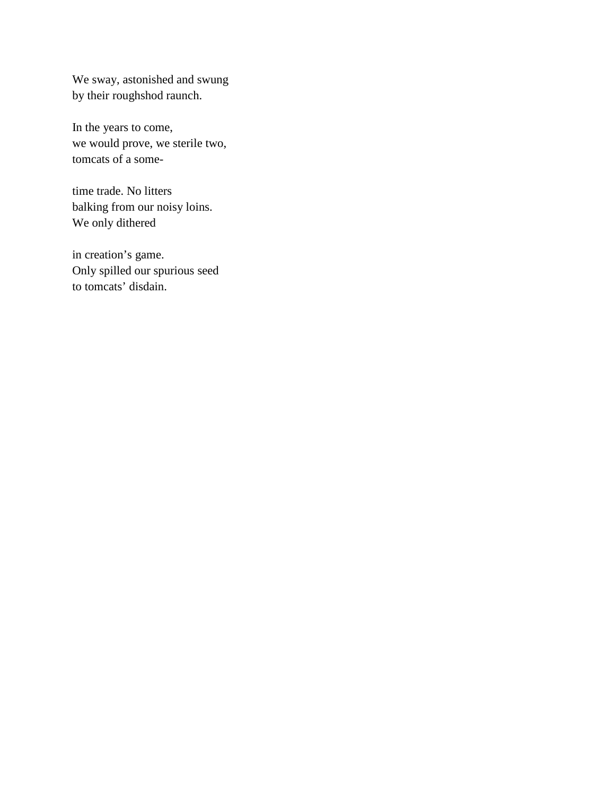We sway, astonished and swung by their roughshod raunch.

In the years to come, we would prove, we sterile two, tomcats of a some-

time trade. No litters balking from our noisy loins. We only dithered

in creation's game. Only spilled our spurious seed to tomcats' disdain.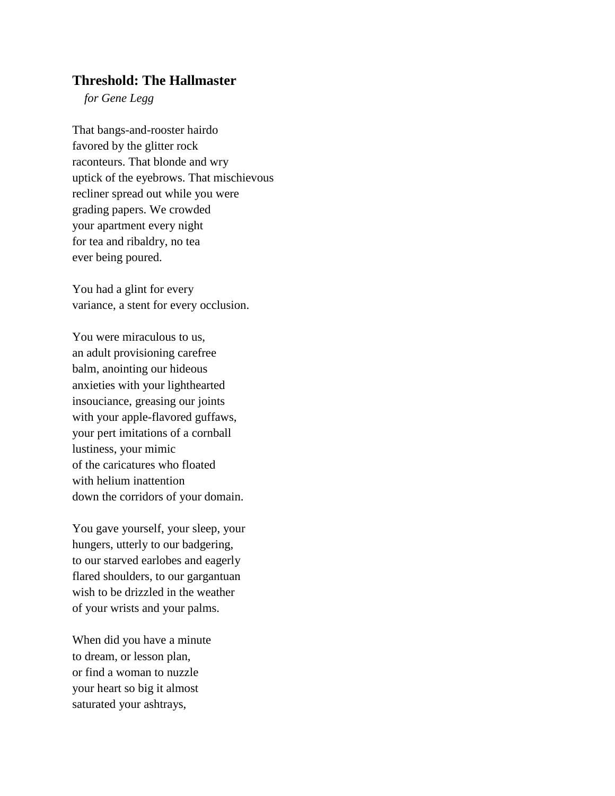#### **Threshold: The Hallmaster**

*for Gene Legg*

That bangs-and-rooster hairdo favored by the glitter rock raconteurs. That blonde and wry uptick of the eyebrows. That mischievous recliner spread out while you were grading papers. We crowded your apartment every night for tea and ribaldry, no tea ever being poured.

You had a glint for every variance, a stent for every occlusion.

You were miraculous to us, an adult provisioning carefree balm, anointing our hideous anxieties with your lighthearted insouciance, greasing our joints with your apple-flavored guffaws, your pert imitations of a cornball lustiness, your mimic of the caricatures who floated with helium inattention down the corridors of your domain.

You gave yourself, your sleep, your hungers, utterly to our badgering, to our starved earlobes and eagerly flared shoulders, to our gargantuan wish to be drizzled in the weather of your wrists and your palms.

When did you have a minute to dream, or lesson plan, or find a woman to nuzzle your heart so big it almost saturated your ashtrays,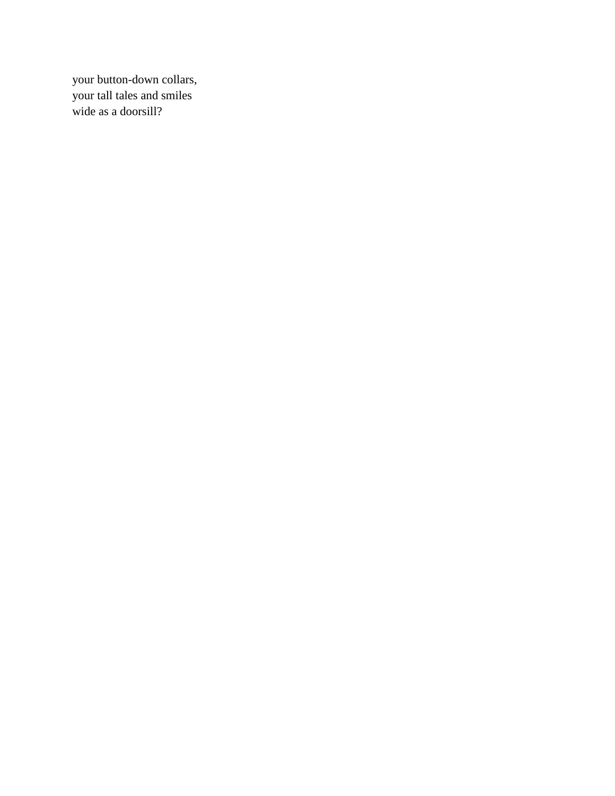your button-down collars, your tall tales and smiles wide as a doorsill?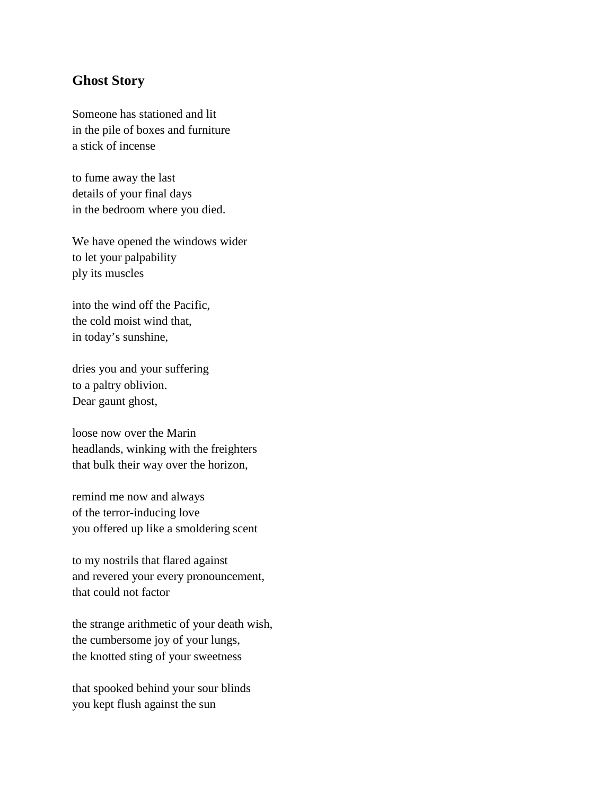### **Ghost Story**

Someone has stationed and lit in the pile of boxes and furniture a stick of incense

to fume away the last details of your final days in the bedroom where you died.

We have opened the windows wider to let your palpability ply its muscles

into the wind off the Pacific, the cold moist wind that, in today's sunshine,

dries you and your suffering to a paltry oblivion. Dear gaunt ghost,

loose now over the Marin headlands, winking with the freighters that bulk their way over the horizon,

remind me now and always of the terror-inducing love you offered up like a smoldering scent

to my nostrils that flared against and revered your every pronouncement, that could not factor

the strange arithmetic of your death wish, the cumbersome joy of your lungs, the knotted sting of your sweetness

that spooked behind your sour blinds you kept flush against the sun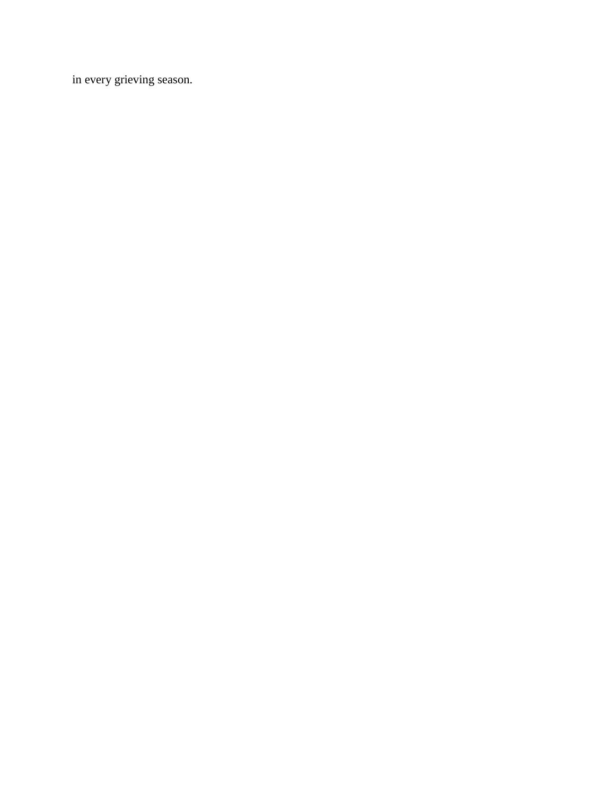in every grieving season.